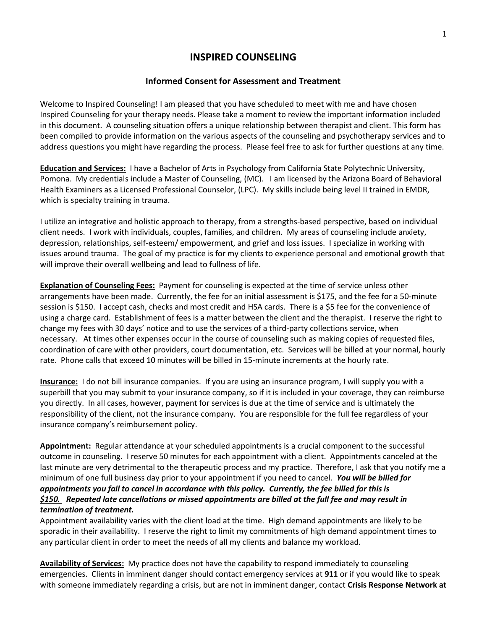## **INSPIRED COUNSELING**

## **Informed Consent for Assessment and Treatment**

Welcome to Inspired Counseling! I am pleased that you have scheduled to meet with me and have chosen Inspired Counseling for your therapy needs. Please take a moment to review the important information included in this document. A counseling situation offers a unique relationship between therapist and client. This form has been compiled to provide information on the various aspects of the counseling and psychotherapy services and to address questions you might have regarding the process. Please feel free to ask for further questions at any time.

**Education and Services:** I have a Bachelor of Arts in Psychology from California State Polytechnic University, Pomona. My credentials include a Master of Counseling, (MC). I am licensed by the Arizona Board of Behavioral Health Examiners as a Licensed Professional Counselor, (LPC). My skills include being level II trained in EMDR, which is specialty training in trauma.

I utilize an integrative and holistic approach to therapy, from a strengths-based perspective, based on individual client needs. I work with individuals, couples, families, and children. My areas of counseling include anxiety, depression, relationships, self-esteem/ empowerment, and grief and loss issues. I specialize in working with issues around trauma. The goal of my practice is for my clients to experience personal and emotional growth that will improve their overall wellbeing and lead to fullness of life.

**Explanation of Counseling Fees:** Payment for counseling is expected at the time of service unless other arrangements have been made. Currently, the fee for an initial assessment is \$175, and the fee for a 50-minute session is \$150. I accept cash, checks and most credit and HSA cards. There is a \$5 fee for the convenience of using a charge card. Establishment of fees is a matter between the client and the therapist. I reserve the right to change my fees with 30 days' notice and to use the services of a third-party collections service, when necessary. At times other expenses occur in the course of counseling such as making copies of requested files, coordination of care with other providers, court documentation, etc. Services will be billed at your normal, hourly rate. Phone calls that exceed 10 minutes will be billed in 15-minute increments at the hourly rate.

**Insurance:** I do not bill insurance companies. If you are using an insurance program, I will supply you with a superbill that you may submit to your insurance company, so if it is included in your coverage, they can reimburse you directly. In all cases, however, payment for services is due at the time of service and is ultimately the responsibility of the client, not the insurance company. You are responsible for the full fee regardless of your insurance company's reimbursement policy.

**Appointment:** Regular attendance at your scheduled appointments is a crucial component to the successful outcome in counseling. I reserve 50 minutes for each appointment with a client. Appointments canceled at the last minute are very detrimental to the therapeutic process and my practice. Therefore, I ask that you notify me a minimum of one full business day prior to your appointment if you need to cancel. *You will be billed for appointments you fail to cancel in accordance with this policy. Currently, the fee billed for this is \$150. Repeated late cancellations or missed appointments are billed at the full fee and may result in termination of treatment.*

Appointment availability varies with the client load at the time. High demand appointments are likely to be sporadic in their availability. I reserve the right to limit my commitments of high demand appointment times to any particular client in order to meet the needs of all my clients and balance my workload.

**Availability of Services:** My practice does not have the capability to respond immediately to counseling emergencies. Clients in imminent danger should contact emergency services at **911** or if you would like to speak with someone immediately regarding a crisis, but are not in imminent danger, contact **Crisis Response Network at**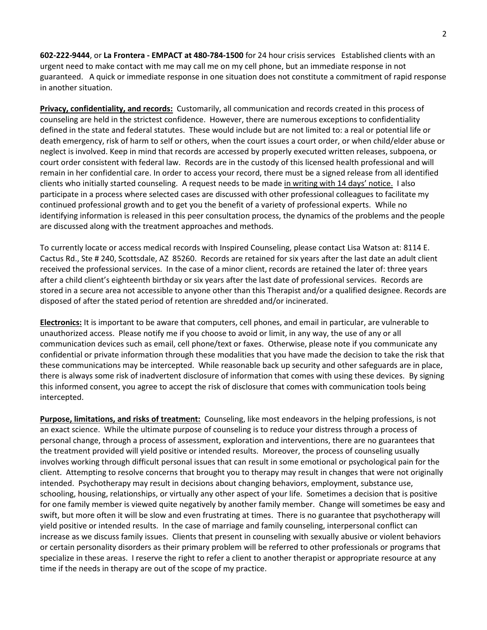**602-222-9444**, or **La Frontera - EMPACT at 480-784-1500** for 24 hour crisis services Established clients with an urgent need to make contact with me may call me on my cell phone, but an immediate response in not guaranteed. A quick or immediate response in one situation does not constitute a commitment of rapid response in another situation.

**Privacy, confidentiality, and records:** Customarily, all communication and records created in this process of counseling are held in the strictest confidence. However, there are numerous exceptions to confidentiality defined in the state and federal statutes. These would include but are not limited to: a real or potential life or death emergency, risk of harm to self or others, when the court issues a court order, or when child/elder abuse or neglect is involved. Keep in mind that records are accessed by properly executed written releases, subpoena, or court order consistent with federal law. Records are in the custody of this licensed health professional and will remain in her confidential care. In order to access your record, there must be a signed release from all identified clients who initially started counseling. A request needs to be made in writing with 14 days' notice. I also participate in a process where selected cases are discussed with other professional colleagues to facilitate my continued professional growth and to get you the benefit of a variety of professional experts. While no identifying information is released in this peer consultation process, the dynamics of the problems and the people are discussed along with the treatment approaches and methods.

To currently locate or access medical records with Inspired Counseling, please contact Lisa Watson at: 8114 E. Cactus Rd., Ste # 240, Scottsdale, AZ 85260. Records are retained for six years after the last date an adult client received the professional services. In the case of a minor client, records are retained the later of: three years after a child client's eighteenth birthday or six years after the last date of professional services. Records are stored in a secure area not accessible to anyone other than this Therapist and/or a qualified designee. Records are disposed of after the stated period of retention are shredded and/or incinerated.

**Electronics:** It is important to be aware that computers, cell phones, and email in particular, are vulnerable to unauthorized access. Please notify me if you choose to avoid or limit, in any way, the use of any or all communication devices such as email, cell phone/text or faxes. Otherwise, please note if you communicate any confidential or private information through these modalities that you have made the decision to take the risk that these communications may be intercepted. While reasonable back up security and other safeguards are in place, there is always some risk of inadvertent disclosure of information that comes with using these devices. By signing this informed consent, you agree to accept the risk of disclosure that comes with communication tools being intercepted.

**Purpose, limitations, and risks of treatment:** Counseling, like most endeavors in the helping professions, is not an exact science. While the ultimate purpose of counseling is to reduce your distress through a process of personal change, through a process of assessment, exploration and interventions, there are no guarantees that the treatment provided will yield positive or intended results. Moreover, the process of counseling usually involves working through difficult personal issues that can result in some emotional or psychological pain for the client. Attempting to resolve concerns that brought you to therapy may result in changes that were not originally intended. Psychotherapy may result in decisions about changing behaviors, employment, substance use, schooling, housing, relationships, or virtually any other aspect of your life. Sometimes a decision that is positive for one family member is viewed quite negatively by another family member. Change will sometimes be easy and swift, but more often it will be slow and even frustrating at times. There is no guarantee that psychotherapy will yield positive or intended results. In the case of marriage and family counseling, interpersonal conflict can increase as we discuss family issues. Clients that present in counseling with sexually abusive or violent behaviors or certain personality disorders as their primary problem will be referred to other professionals or programs that specialize in these areas. I reserve the right to refer a client to another therapist or appropriate resource at any time if the needs in therapy are out of the scope of my practice.